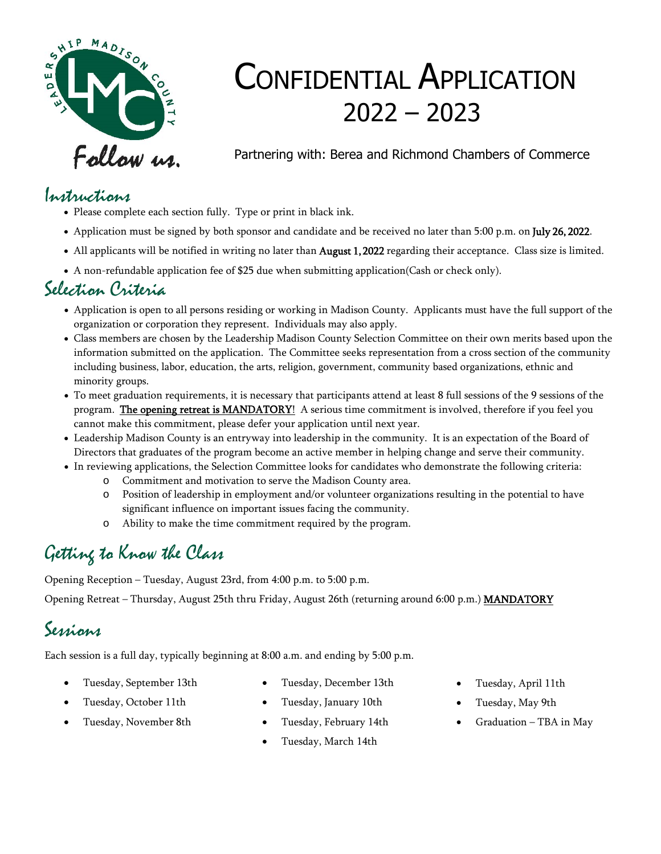

# CONFIDENTIAL APPLICATION 2022 – 2023

Partnering with: Berea and Richmond Chambers of Commerce

#### Instructions

- Please complete each section fully. Type or print in black ink.
- Application must be signed by both sponsor and candidate and be received no later than 5:00 p.m. on July 26, 2022.
- All applicants will be notified in writing no later than August 1,2022 regarding their acceptance. Class size is limited.
- A non-refundable application fee of \$25 due when submitting application(Cash or check only).

### Selection Criteria

- Application is open to all persons residing or working in Madison County. Applicants must have the full support of the organization or corporation they represent. Individuals may also apply.
- Class members are chosen by the Leadership Madison County Selection Committee on their own merits based upon the information submitted on the application. The Committee seeks representation from a cross section of the community including business, labor, education, the arts, religion, government, community based organizations, ethnic and minority groups.
- To meet graduation requirements, it is necessary that participants attend at least 8 full sessions of the 9 sessions of the program. The opening retreat is MANDATORY! A serious time commitment is involved, therefore if you feel you cannot make this commitment, please defer your application until next year.
- Leadership Madison County is an entryway into leadership in the community. It is an expectation of the Board of Directors that graduates of the program become an active member in helping change and serve their community.
- In reviewing applications, the Selection Committee looks for candidates who demonstrate the following criteria:
	- o Commitment and motivation to serve the Madison County area.
	- o Position of leadership in employment and/or volunteer organizations resulting in the potential to have significant influence on important issues facing the community.
	- o Ability to make the time commitment required by the program.

## Getting to Know the Class

Opening Reception – Tuesday, August 23rd, from 4:00 p.m. to 5:00 p.m.

Opening Retreat - Thursday, August 25th thru Friday, August 26th (returning around 6:00 p.m.) MANDATORY

#### Sessions

Each session is a full day, typically beginning at 8:00 a.m. and ending by 5:00 p.m.

- Tuesday, September 13th
- Tuesday, December 13th
- Tuesday, October 11th
- Tuesday, January 10th
- Tuesday, November 8th
- Tuesday, February 14th
- Tuesday, March 14th
- Tuesday, April 11th
- Tuesday, May 9th
- Graduation TBA in May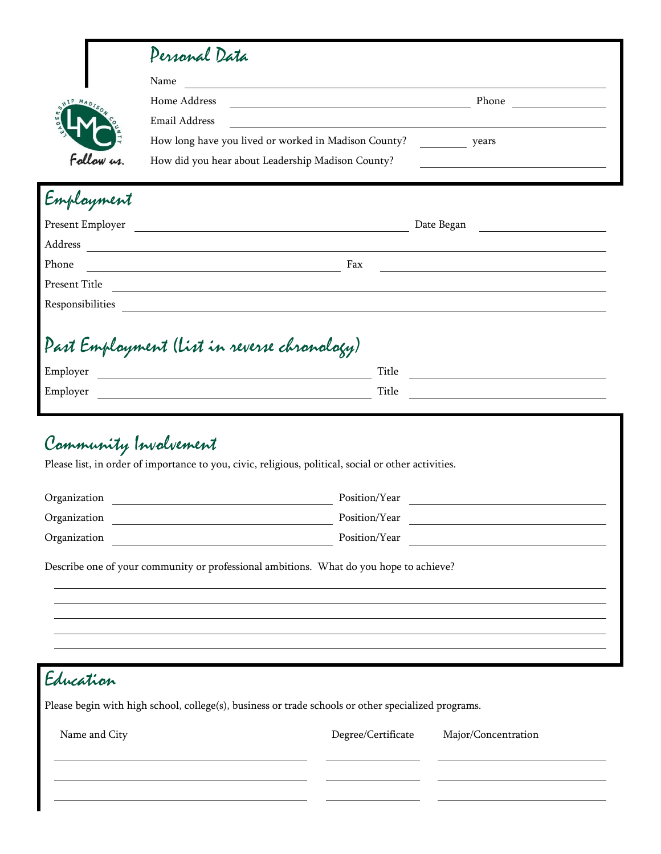| $\rm Name$<br>Home Address<br>AIP MADIS<br>Email Address<br>Follow us.<br>Employment<br>Present Employer<br>$\overline{\phantom{a}}$ Fax<br>Phone<br>Responsibilities<br>Past Employment (list in reverse chronology)<br>Employer<br>Employer<br><u> 1989 - Johann Barn, fransk politik amerikansk politik (d. 1989)</u><br>Community Involvement<br>Organization<br>Organization<br>Organization | Phone<br>How long have you lived or worked in Madison County?<br>years<br>How did you hear about Leadership Madison County?<br>Date Began<br><u> 1989 - Johann Harry Harry Harry Harry Harry Harry Harry Harry Harry Harry Harry Harry Harry Harry Harry Harry</u><br>Present Title<br>and the control of the control of the control of the control of the control of the control of the control of the<br>Title<br>Title |
|---------------------------------------------------------------------------------------------------------------------------------------------------------------------------------------------------------------------------------------------------------------------------------------------------------------------------------------------------------------------------------------------------|---------------------------------------------------------------------------------------------------------------------------------------------------------------------------------------------------------------------------------------------------------------------------------------------------------------------------------------------------------------------------------------------------------------------------|
|                                                                                                                                                                                                                                                                                                                                                                                                   | the control of the control of the control of the<br>Address and the contract of the contract of the contract of the contract of the contract of the contract of the contract of the contract of the contract of the contract of the contract of the contract of the contract of th<br><u> 1989 - Johann Barbara, martin amerikan basar dan basa dan basa dan basa dan basa dan basa dan basa dan basa</u>                 |
|                                                                                                                                                                                                                                                                                                                                                                                                   |                                                                                                                                                                                                                                                                                                                                                                                                                           |
|                                                                                                                                                                                                                                                                                                                                                                                                   |                                                                                                                                                                                                                                                                                                                                                                                                                           |
|                                                                                                                                                                                                                                                                                                                                                                                                   |                                                                                                                                                                                                                                                                                                                                                                                                                           |
|                                                                                                                                                                                                                                                                                                                                                                                                   |                                                                                                                                                                                                                                                                                                                                                                                                                           |
|                                                                                                                                                                                                                                                                                                                                                                                                   |                                                                                                                                                                                                                                                                                                                                                                                                                           |
|                                                                                                                                                                                                                                                                                                                                                                                                   |                                                                                                                                                                                                                                                                                                                                                                                                                           |
|                                                                                                                                                                                                                                                                                                                                                                                                   |                                                                                                                                                                                                                                                                                                                                                                                                                           |
|                                                                                                                                                                                                                                                                                                                                                                                                   |                                                                                                                                                                                                                                                                                                                                                                                                                           |
|                                                                                                                                                                                                                                                                                                                                                                                                   |                                                                                                                                                                                                                                                                                                                                                                                                                           |
|                                                                                                                                                                                                                                                                                                                                                                                                   |                                                                                                                                                                                                                                                                                                                                                                                                                           |
|                                                                                                                                                                                                                                                                                                                                                                                                   |                                                                                                                                                                                                                                                                                                                                                                                                                           |
|                                                                                                                                                                                                                                                                                                                                                                                                   |                                                                                                                                                                                                                                                                                                                                                                                                                           |
|                                                                                                                                                                                                                                                                                                                                                                                                   |                                                                                                                                                                                                                                                                                                                                                                                                                           |
|                                                                                                                                                                                                                                                                                                                                                                                                   |                                                                                                                                                                                                                                                                                                                                                                                                                           |
|                                                                                                                                                                                                                                                                                                                                                                                                   | Please list, in order of importance to you, civic, religious, political, social or other activities.                                                                                                                                                                                                                                                                                                                      |
|                                                                                                                                                                                                                                                                                                                                                                                                   | Position/Year                                                                                                                                                                                                                                                                                                                                                                                                             |
|                                                                                                                                                                                                                                                                                                                                                                                                   | Position/Year                                                                                                                                                                                                                                                                                                                                                                                                             |
|                                                                                                                                                                                                                                                                                                                                                                                                   | Position/Year                                                                                                                                                                                                                                                                                                                                                                                                             |
|                                                                                                                                                                                                                                                                                                                                                                                                   | Describe one of your community or professional ambitions. What do you hope to achieve?                                                                                                                                                                                                                                                                                                                                    |
|                                                                                                                                                                                                                                                                                                                                                                                                   |                                                                                                                                                                                                                                                                                                                                                                                                                           |
|                                                                                                                                                                                                                                                                                                                                                                                                   |                                                                                                                                                                                                                                                                                                                                                                                                                           |
|                                                                                                                                                                                                                                                                                                                                                                                                   |                                                                                                                                                                                                                                                                                                                                                                                                                           |
|                                                                                                                                                                                                                                                                                                                                                                                                   |                                                                                                                                                                                                                                                                                                                                                                                                                           |
| Education                                                                                                                                                                                                                                                                                                                                                                                         |                                                                                                                                                                                                                                                                                                                                                                                                                           |
|                                                                                                                                                                                                                                                                                                                                                                                                   |                                                                                                                                                                                                                                                                                                                                                                                                                           |
| Name and City                                                                                                                                                                                                                                                                                                                                                                                     | Please begin with high school, college(s), business or trade schools or other specialized programs.                                                                                                                                                                                                                                                                                                                       |
| <u> 1989 - Johann John Stone, meil in der Stone aus der Stone aus der Stone aus der Stone aus der Stone aus der S</u>                                                                                                                                                                                                                                                                             | Degree/Certificate<br>Major/Concentration                                                                                                                                                                                                                                                                                                                                                                                 |

| Name and City | Degree/Certificate | Major/Concentration |  |
|---------------|--------------------|---------------------|--|
|               |                    |                     |  |
|               |                    |                     |  |
|               |                    |                     |  |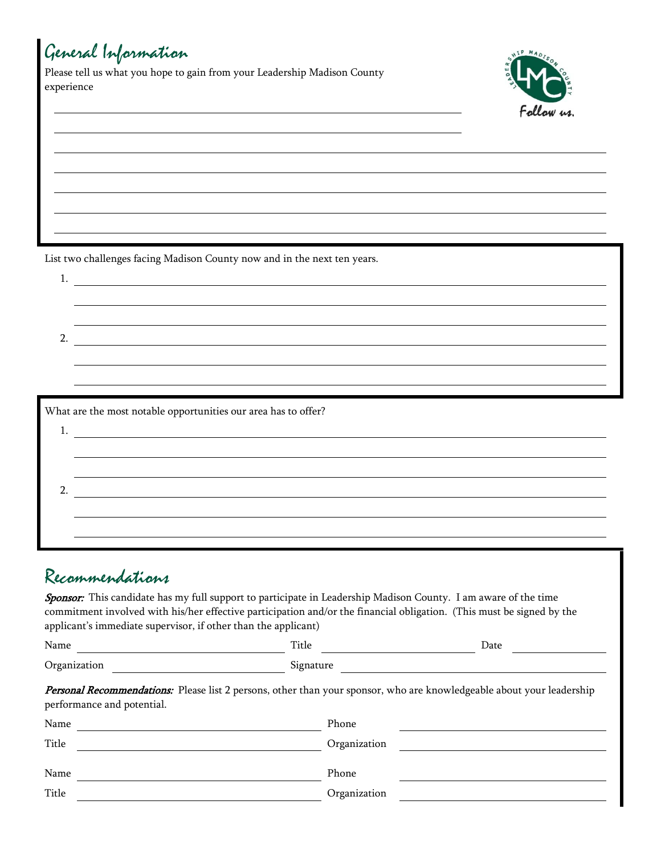## General Information

Please tell us what you hope to gain from your Leadership Madison County experience

<u> 1980 - Johann Barn, mars ann an t-Amhain Aonaichte ann an t-Aonaichte ann an t-Aonaichte ann an t-Aonaichte a</u>



List two challenges facing Madison County now and in the next ten years.

| ٠<br>× |
|--------|

2.

|   | What are the most notable opportunities our area has to offer? |
|---|----------------------------------------------------------------|
|   |                                                                |
|   |                                                                |
|   |                                                                |
| ּ |                                                                |
|   |                                                                |
|   |                                                                |
|   |                                                                |

### Recommendations

Sponsor: This candidate has my full support to participate in Leadership Madison County. I am aware of the time commitment involved with his/her effective participation and/or the financial obligation. (This must be signed by the applicant's immediate supervisor, if other than the applicant)

| Name                                         | <u></u><br>TIME | )ate |
|----------------------------------------------|-----------------|------|
| $\sim$<br>$\cdot$ legan $\cdot$ $\cdot$<br>ັ |                 |      |

Personal Recommendations: Please list 2 persons, other than your sponsor, who are knowledgeable about your leadership performance and potential.

| Name  | Phone        |
|-------|--------------|
| Title | Organization |
| Name  | Phone        |
| Title | Organization |